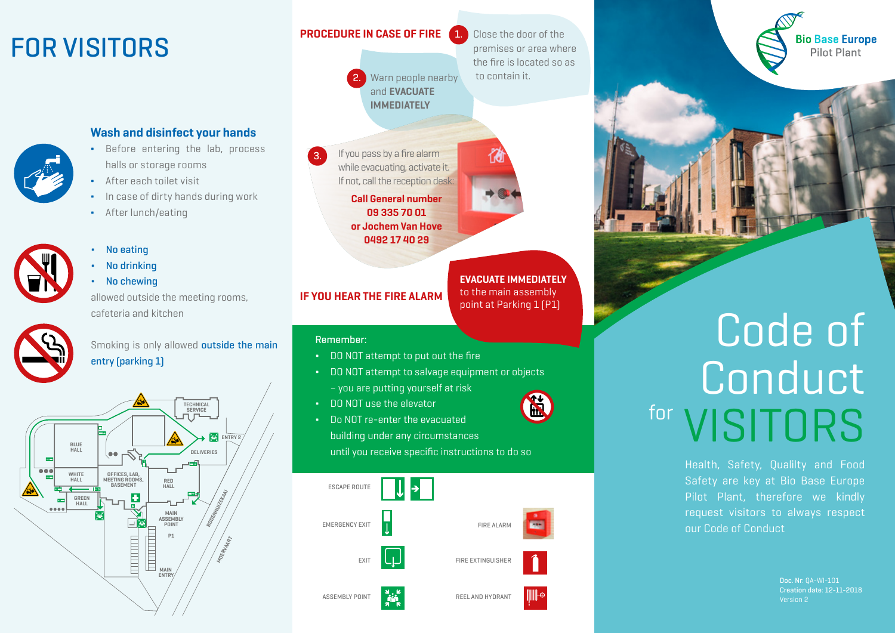## FOR VISITORS



#### Wash and disinfect your hands

- Before entering the lab, process halls or storage rooms
- After each toilet visit
- ∆ In case of dirty hands during work
- After lunch/eating



#### ∆ No eating

- ∆ No drinking
- ∆ No chewing

allowed outside the meeting rooms, cafeteria and kitchen



Smoking is only allowed **outside the main** entry (parking 1)



#### PROCEDURE IN CASE OF FIRE

2.

3.

Warn people nearby and EVACUATE premises or area where the fire is located so as to contain it.

1.

Close the door of the

If you pass by a fire alarm while evacuating, activate it. If not, call the reception desk: Call General number 09 335 70 01 or Jochem Van Hove 0492 17 40 29

**IMMEDIATELY** 

### IF YOU HEAR THE FIRE ALARM

#### Remember:

- DO NOT attempt to put out the fire
- DO NOT attempt to salvage equipment or objects – you are putting yourself at risk
- DO NOT use the elevator
- Do NOT re-enter the evacuated

building under any circumstances until you receive specific instructions to do so



# Code of Conduct for VISITORS

Health, Safety, Qualilty and Food Safety are key at Bio Base Europe Pilot Plant, therefore we kindly request visitors to always respect our Code of Conduct

> Doc. Nr: QA-WI-101 Creation date: 12-11-2018

**Bio Base Europe** Pilot Plant

EVACUATE IMMEDIATELY to the main assembly point at Parking 1 (P1)